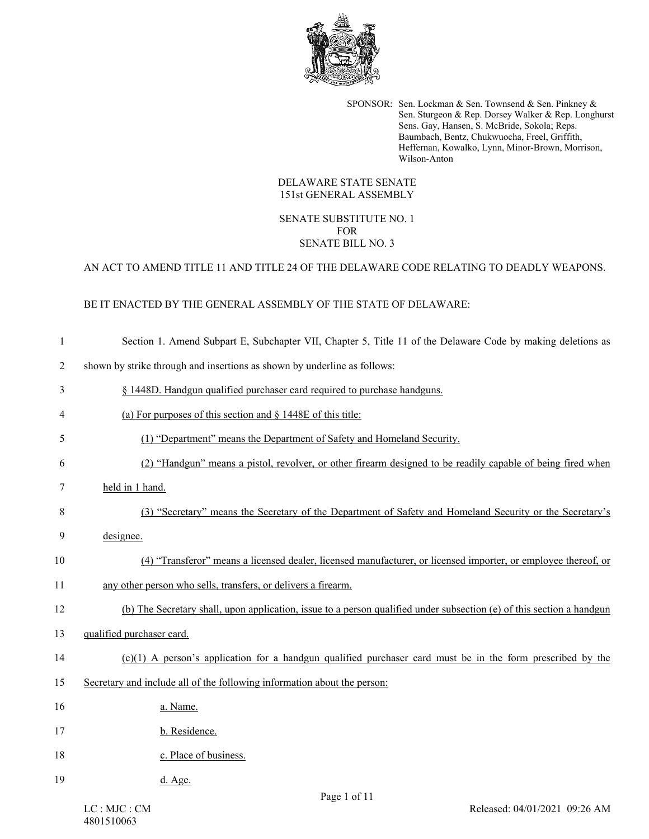

SPONSOR: Sen. Lockman & Sen. Townsend & Sen. Pinkney & Sen. Sturgeon & Rep. Dorsey Walker & Rep. Longhurst Sens. Gay, Hansen, S. McBride, Sokola; Reps. Baumbach, Bentz, Chukwuocha, Freel, Griffith, Heffernan, Kowalko, Lynn, Minor-Brown, Morrison, Wilson-Anton

#### DELAWARE STATE SENATE 151st GENERAL ASSEMBLY

### SENATE SUBSTITUTE NO. 1 FOR SENATE BILL NO. 3

## AN ACT TO AMEND TITLE 11 AND TITLE 24 OF THE DELAWARE CODE RELATING TO DEADLY WEAPONS.

# BE IT ENACTED BY THE GENERAL ASSEMBLY OF THE STATE OF DELAWARE:

| $\mathbf{1}$   | Section 1. Amend Subpart E, Subchapter VII, Chapter 5, Title 11 of the Delaware Code by making deletions as           |
|----------------|-----------------------------------------------------------------------------------------------------------------------|
| $\overline{2}$ | shown by strike through and insertions as shown by underline as follows:                                              |
| 3              | § 1448D. Handgun qualified purchaser card required to purchase handguns.                                              |
| 4              | (a) For purposes of this section and $\S$ 1448E of this title:                                                        |
| 5              | (1) "Department" means the Department of Safety and Homeland Security.                                                |
| 6              | (2) "Handgun" means a pistol, revolver, or other firearm designed to be readily capable of being fired when           |
| 7              | held in 1 hand.                                                                                                       |
| 8              | (3) "Secretary" means the Secretary of the Department of Safety and Homeland Security or the Secretary's              |
| 9              | designee.                                                                                                             |
| 10             | (4) "Transferor" means a licensed dealer, licensed manufacturer, or licensed importer, or employee thereof, or        |
| 11             | any other person who sells, transfers, or delivers a firearm.                                                         |
| 12             | (b) The Secretary shall, upon application, issue to a person qualified under subsection (e) of this section a handgun |
| 13             | qualified purchaser card.                                                                                             |
| 14             | $(c)(1)$ A person's application for a handgun qualified purchaser card must be in the form prescribed by the          |
| 15             | Secretary and include all of the following information about the person:                                              |
| 16             | a. Name.                                                                                                              |
| 17             | b. Residence.                                                                                                         |
| 18             | c. Place of business.                                                                                                 |
| 19             | d. Age.                                                                                                               |
|                | $D_{\alpha\alpha\alpha}$ 1 $\alpha$ f 11                                                                              |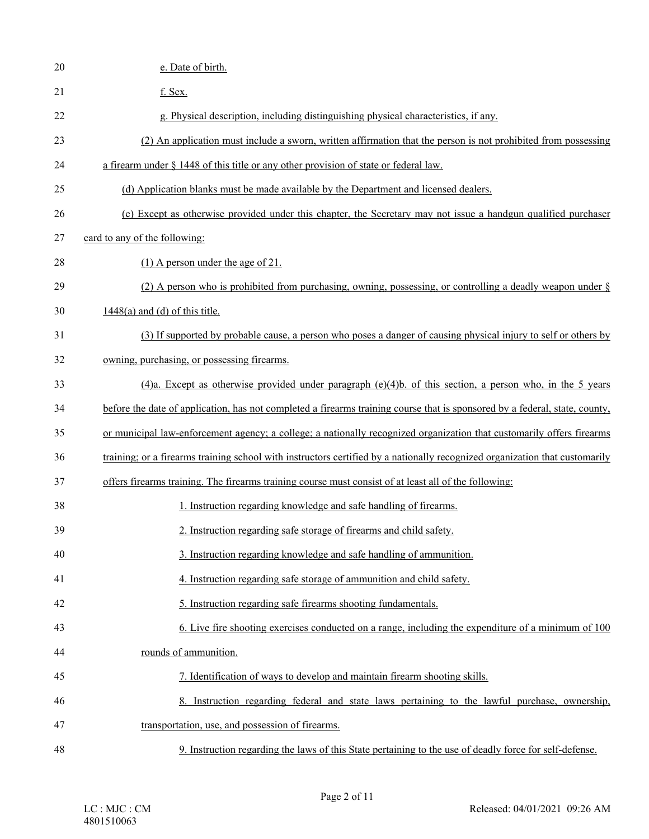| $20\,$ | e. Date of birth.                                                                                                           |
|--------|-----------------------------------------------------------------------------------------------------------------------------|
| 21     | f. Sex.                                                                                                                     |
| 22     | g. Physical description, including distinguishing physical characteristics, if any.                                         |
| 23     | (2) An application must include a sworn, written affirmation that the person is not prohibited from possessing              |
| 24     | a firearm under § 1448 of this title or any other provision of state or federal law.                                        |
| 25     | (d) Application blanks must be made available by the Department and licensed dealers.                                       |
| 26     | (e) Except as otherwise provided under this chapter, the Secretary may not issue a handgun qualified purchaser              |
| 27     | card to any of the following:                                                                                               |
| 28     | $(1)$ A person under the age of 21.                                                                                         |
| 29     | (2) A person who is prohibited from purchasing, owning, possessing, or controlling a deadly weapon under $\S$               |
| 30     | $1448(a)$ and (d) of this title.                                                                                            |
| 31     | (3) If supported by probable cause, a person who poses a danger of causing physical injury to self or others by             |
| 32     | owning, purchasing, or possessing firearms.                                                                                 |
| 33     | $(4)$ a. Except as otherwise provided under paragraph $(e)(4)$ b. of this section, a person who, in the 5 years             |
| 34     | before the date of application, has not completed a firearms training course that is sponsored by a federal, state, county, |
| 35     | or municipal law-enforcement agency; a college; a nationally recognized organization that customarily offers firearms       |
| 36     | training; or a firearms training school with instructors certified by a nationally recognized organization that customarily |
| 37     | offers firearms training. The firearms training course must consist of at least all of the following:                       |
| 38     | 1. Instruction regarding knowledge and safe handling of firearms.                                                           |
| 39     | 2. Instruction regarding safe storage of firearms and child safety.                                                         |
| 40     | 3. Instruction regarding knowledge and safe handling of ammunition.                                                         |
| 41     | 4. Instruction regarding safe storage of ammunition and child safety.                                                       |
| 42     | 5. Instruction regarding safe firearms shooting fundamentals.                                                               |
| 43     | 6. Live fire shooting exercises conducted on a range, including the expenditure of a minimum of 100                         |
| 44     | rounds of ammunition.                                                                                                       |
| 45     | 7. Identification of ways to develop and maintain firearm shooting skills.                                                  |
| 46     | 8. Instruction regarding federal and state laws pertaining to the lawful purchase, ownership,                               |
| 47     | transportation, use, and possession of firearms.                                                                            |
| 48     | 9. Instruction regarding the laws of this State pertaining to the use of deadly force for self-defense.                     |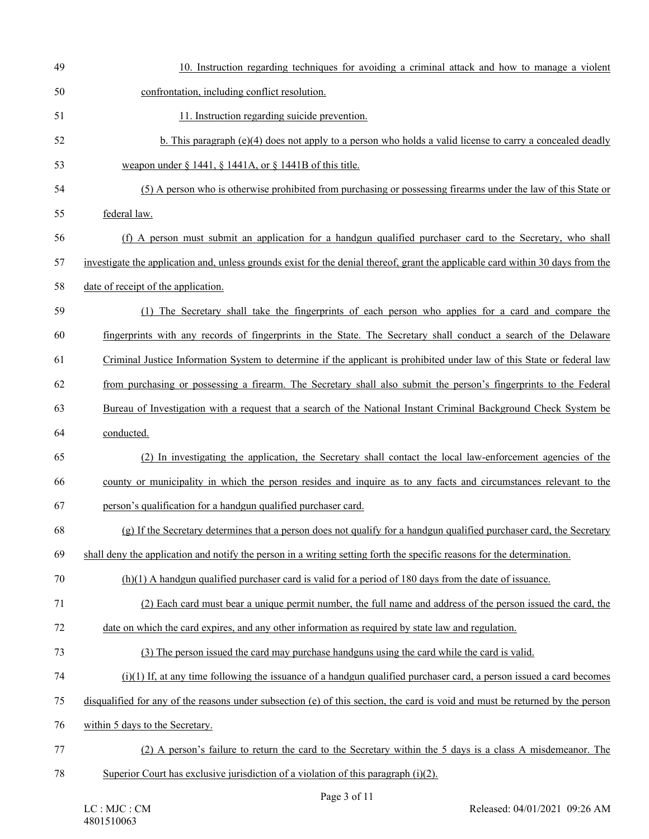| 49 | 10. Instruction regarding techniques for avoiding a criminal attack and how to manage a violent                                 |
|----|---------------------------------------------------------------------------------------------------------------------------------|
| 50 | confrontation, including conflict resolution.                                                                                   |
| 51 | 11. Instruction regarding suicide prevention.                                                                                   |
| 52 | b. This paragraph $(e)(4)$ does not apply to a person who holds a valid license to carry a concealed deadly                     |
| 53 | weapon under $\S$ 1441, $\S$ 1441A, or $\S$ 1441B of this title.                                                                |
| 54 | (5) A person who is otherwise prohibited from purchasing or possessing firearms under the law of this State or                  |
| 55 | federal law.                                                                                                                    |
| 56 | (f) A person must submit an application for a handgun qualified purchaser card to the Secretary, who shall                      |
| 57 | investigate the application and, unless grounds exist for the denial thereof, grant the applicable card within 30 days from the |
| 58 | date of receipt of the application.                                                                                             |
| 59 | (1) The Secretary shall take the fingerprints of each person who applies for a card and compare the                             |
| 60 | fingerprints with any records of fingerprints in the State. The Secretary shall conduct a search of the Delaware                |
| 61 | Criminal Justice Information System to determine if the applicant is prohibited under law of this State or federal law          |
| 62 | from purchasing or possessing a firearm. The Secretary shall also submit the person's fingerprints to the Federal               |
| 63 | Bureau of Investigation with a request that a search of the National Instant Criminal Background Check System be                |
| 64 | conducted.                                                                                                                      |
| 65 | (2) In investigating the application, the Secretary shall contact the local law-enforcement agencies of the                     |
| 66 | county or municipality in which the person resides and inquire as to any facts and circumstances relevant to the                |
| 67 | person's qualification for a handgun qualified purchaser card.                                                                  |
| 68 | (g) If the Secretary determines that a person does not qualify for a handgun qualified purchaser card, the Secretary            |
| 69 | shall deny the application and notify the person in a writing setting forth the specific reasons for the determination.         |
| 70 | $(h)(1)$ A handgun qualified purchaser card is valid for a period of 180 days from the date of issuance.                        |
| 71 | (2) Each card must bear a unique permit number, the full name and address of the person issued the card, the                    |
| 72 | date on which the card expires, and any other information as required by state law and regulation.                              |
| 73 | (3) The person issued the card may purchase handguns using the card while the card is valid.                                    |
| 74 | $(i)(1)$ If, at any time following the issuance of a handgun qualified purchaser card, a person issued a card becomes           |
| 75 | disqualified for any of the reasons under subsection (e) of this section, the card is void and must be returned by the person   |
| 76 | within 5 days to the Secretary.                                                                                                 |
| 77 | (2) A person's failure to return the card to the Secretary within the 5 days is a class A misdemeanor. The                      |
| 78 | Superior Court has exclusive jurisdiction of a violation of this paragraph $(i)(2)$ .                                           |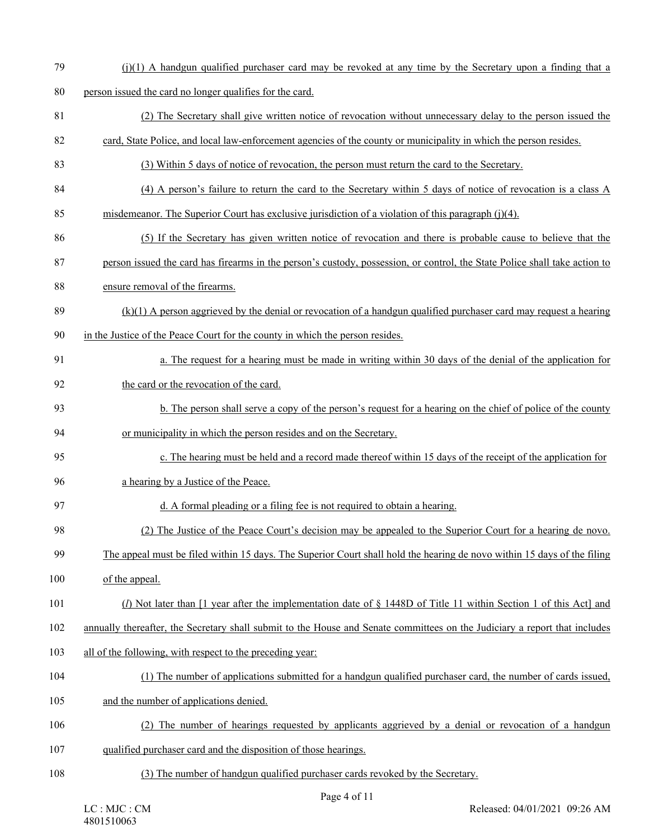$(1)(1)$  A handgun qualified purchaser card may be revoked at any time by the Secretary upon a finding that a

80 person issued the card no longer qualifies for the card.

- 81 (2) The Secretary shall give written notice of revocation without unnecessary delay to the person issued the
- 82 card, State Police, and local law-enforcement agencies of the county or municipality in which the person resides.
- 83 (3) Within 5 days of notice of revocation, the person must return the card to the Secretary.
- 84 (4) A person's failure to return the card to the Secretary within 5 days of notice of revocation is a class A
- 85 misdemeanor. The Superior Court has exclusive jurisdiction of a violation of this paragraph (j)(4).
- 86 (5) If the Secretary has given written notice of revocation and there is probable cause to believe that the
- 87 person issued the card has firearms in the person's custody, possession, or control, the State Police shall take action to
- 88 ensure removal of the firearms.
- 89 (k)(1) A person aggrieved by the denial or revocation of a handgun qualified purchaser card may request a hearing 90 in the Justice of the Peace Court for the county in which the person resides.
- 91 a. The request for a hearing must be made in writing within 30 days of the denial of the application for 92 the card or the revocation of the card.
- 93 b. The person shall serve a copy of the person's request for a hearing on the chief of police of the county 94 or municipality in which the person resides and on the Secretary.
- 95 c. The hearing must be held and a record made thereof within 15 days of the receipt of the application for
- 96 a hearing by a Justice of the Peace.
- 97 d. A formal pleading or a filing fee is not required to obtain a hearing.
- 98 (2) The Justice of the Peace Court's decision may be appealed to the Superior Court for a hearing de novo.
- 99 The appeal must be filed within 15 days. The Superior Court shall hold the hearing de novo within 15 days of the filing
- 100 of the appeal.
- 101 (*l*) Not later than [1 year after the implementation date of § 1448D of Title 11 within Section 1 of this Act] and
- 102 annually thereafter, the Secretary shall submit to the House and Senate committees on the Judiciary a report that includes
- 103 all of the following, with respect to the preceding year:
- 104 (1) The number of applications submitted for a handgun qualified purchaser card, the number of cards issued,
- 105 and the number of applications denied.
- 106 (2) The number of hearings requested by applicants aggrieved by a denial or revocation of a handgun 107 qualified purchaser card and the disposition of those hearings.
- 108 (3) The number of handgun qualified purchaser cards revoked by the Secretary.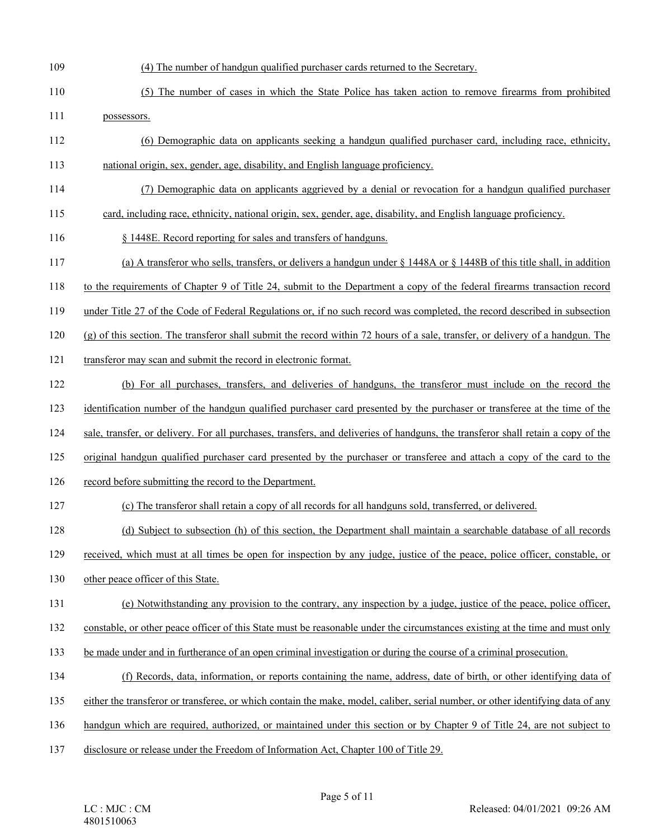- 109 (4) The number of handgun qualified purchaser cards returned to the Secretary.
- 110 (5) The number of cases in which the State Police has taken action to remove firearms from prohibited 111 possessors.
- 112 (6) Demographic data on applicants seeking a handgun qualified purchaser card, including race, ethnicity, 113 national origin, sex, gender, age, disability, and English language proficiency.
- 114 (7) Demographic data on applicants aggrieved by a denial or revocation for a handgun qualified purchaser
- 115 card, including race, ethnicity, national origin, sex, gender, age, disability, and English language proficiency.
- 116 § 1448E. Record reporting for sales and transfers of handguns.
- 117 (a) A transferor who sells, transfers, or delivers a handgun under § 1448A or § 1448B of this title shall, in addition
- 118 to the requirements of Chapter 9 of Title 24, submit to the Department a copy of the federal firearms transaction record
- 119 under Title 27 of the Code of Federal Regulations or, if no such record was completed, the record described in subsection
- 120 (g) of this section. The transferor shall submit the record within 72 hours of a sale, transfer, or delivery of a handgun. The
- 121 transferor may scan and submit the record in electronic format.
- 122 (b) For all purchases, transfers, and deliveries of handguns, the transferor must include on the record the
- 123 identification number of the handgun qualified purchaser card presented by the purchaser or transferee at the time of the
- 124 sale, transfer, or delivery. For all purchases, transfers, and deliveries of handguns, the transferor shall retain a copy of the
- 125 original handgun qualified purchaser card presented by the purchaser or transferee and attach a copy of the card to the
- 126 record before submitting the record to the Department.
- 127 (c) The transferor shall retain a copy of all records for all handguns sold, transferred, or delivered.
- 128 (d) Subject to subsection (h) of this section, the Department shall maintain a searchable database of all records
- 129 received, which must at all times be open for inspection by any judge, justice of the peace, police officer, constable, or
- 130 other peace officer of this State.
- 131 (e) Notwithstanding any provision to the contrary, any inspection by a judge, justice of the peace, police officer,
- 132 constable, or other peace officer of this State must be reasonable under the circumstances existing at the time and must only
- 133 be made under and in furtherance of an open criminal investigation or during the course of a criminal prosecution.
- 134 (f) Records, data, information, or reports containing the name, address, date of birth, or other identifying data of
- 135 either the transferor or transferee, or which contain the make, model, caliber, serial number, or other identifying data of any
- 136 handgun which are required, authorized, or maintained under this section or by Chapter 9 of Title 24, are not subject to
- 137 disclosure or release under the Freedom of Information Act, Chapter 100 of Title 29.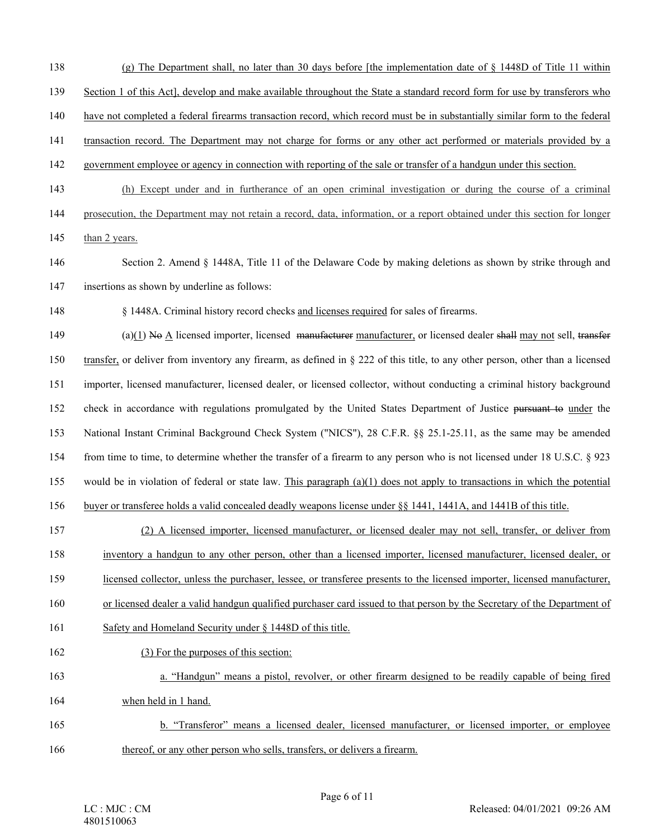- 138 (g) The Department shall, no later than 30 days before [the implementation date of § 1448D of Title 11 within
- 139 Section 1 of this Act], develop and make available throughout the State a standard record form for use by transferors who
- 140 have not completed a federal firearms transaction record, which record must be in substantially similar form to the federal
- 141 transaction record. The Department may not charge for forms or any other act performed or materials provided by a
- 142 government employee or agency in connection with reporting of the sale or transfer of a handgun under this section.
- 143 (h) Except under and in furtherance of an open criminal investigation or during the course of a criminal

144 prosecution, the Department may not retain a record, data, information, or a report obtained under this section for longer 145 than 2 years.

- 146 Section 2. Amend § 1448A, Title 11 of the Delaware Code by making deletions as shown by strike through and 147 insertions as shown by underline as follows:
- 148 § 1448A. Criminal history record checks and licenses required for sales of firearms.

 $(a)(1)$  No A licensed importer, licensed manufacturer manufacturer, or licensed dealer shall may not sell, transfer 150 transfer, or deliver from inventory any firearm, as defined in § 222 of this title, to any other person, other than a licensed 151 importer, licensed manufacturer, licensed dealer, or licensed collector, without conducting a criminal history background 152 check in accordance with regulations promulgated by the United States Department of Justice pursuant to under the 153 National Instant Criminal Background Check System ("NICS"), 28 C.F.R. §§ 25.1-25.11, as the same may be amended 154 from time to time, to determine whether the transfer of a firearm to any person who is not licensed under 18 U.S.C. § 923 155 would be in violation of federal or state law. This paragraph  $(a)(1)$  does not apply to transactions in which the potential 156 buyer or transferee holds a valid concealed deadly weapons license under §§ 1441, 1441A, and 1441B of this title.

- 157 (2) A licensed importer, licensed manufacturer, or licensed dealer may not sell, transfer, or deliver from 158 inventory a handgun to any other person, other than a licensed importer, licensed manufacturer, licensed dealer, or 159 licensed collector, unless the purchaser, lessee, or transferee presents to the licensed importer, licensed manufacturer, 160 or licensed dealer a valid handgun qualified purchaser card issued to that person by the Secretary of the Department of 161 Safety and Homeland Security under § 1448D of this title. 162 (3) For the purposes of this section:
- 163 a. "Handgun" means a pistol, revolver, or other firearm designed to be readily capable of being fired 164 when held in 1 hand.
- 165 b. "Transferor" means a licensed dealer, licensed manufacturer, or licensed importer, or employee 166 thereof, or any other person who sells, transfers, or delivers a firearm.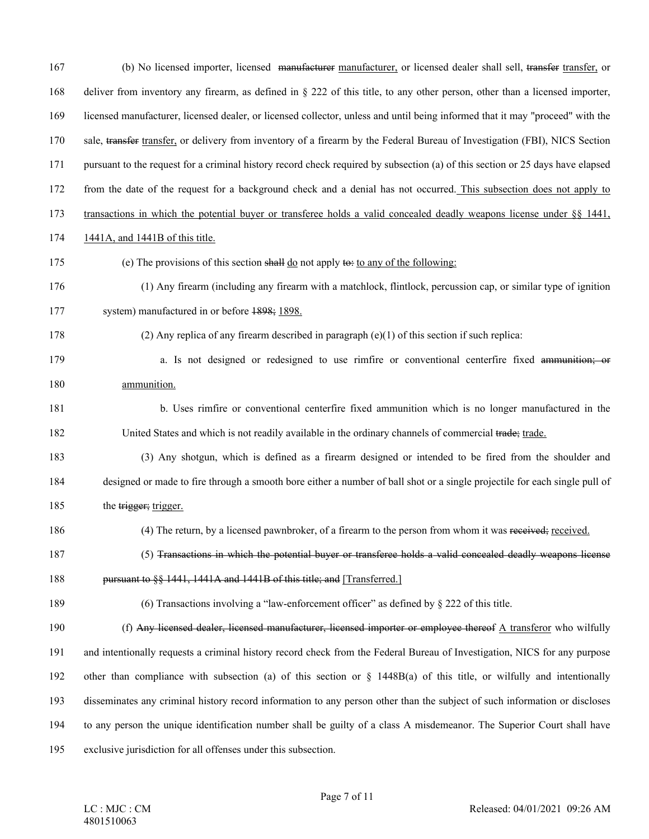| 167 | (b) No licensed importer, licensed manufacturer manufacturer, or licensed dealer shall sell, transfer transfer, or             |
|-----|--------------------------------------------------------------------------------------------------------------------------------|
| 168 | deliver from inventory any firearm, as defined in $\S$ 222 of this title, to any other person, other than a licensed importer, |
| 169 | licensed manufacturer, licensed dealer, or licensed collector, unless and until being informed that it may "proceed" with the  |
| 170 | sale, transfer transfer, or delivery from inventory of a firearm by the Federal Bureau of Investigation (FBI), NICS Section    |
| 171 | pursuant to the request for a criminal history record check required by subsection (a) of this section or 25 days have elapsed |
| 172 | from the date of the request for a background check and a denial has not occurred. This subsection does not apply to           |
| 173 | transactions in which the potential buyer or transferee holds a valid concealed deadly weapons license under $\S$ 1441,        |
| 174 | 1441A, and 1441B of this title.                                                                                                |
| 175 | (e) The provisions of this section shall $\underline{do}$ not apply to: to any of the following:                               |
| 176 | (1) Any firearm (including any firearm with a matchlock, flintlock, percussion cap, or similar type of ignition                |
| 177 | system) manufactured in or before 1898; 1898.                                                                                  |
| 178 | (2) Any replica of any firearm described in paragraph $(e)(1)$ of this section if such replica:                                |
| 179 | a. Is not designed or redesigned to use rimfire or conventional centerfire fixed ammunition; or                                |
| 180 | ammunition.                                                                                                                    |
| 181 | b. Uses rimfire or conventional centerfire fixed ammunition which is no longer manufactured in the                             |
| 182 | United States and which is not readily available in the ordinary channels of commercial trade; trade.                          |
| 183 | (3) Any shotgun, which is defined as a firearm designed or intended to be fired from the shoulder and                          |
| 184 | designed or made to fire through a smooth bore either a number of ball shot or a single projectile for each single pull of     |
| 185 | the trigger; trigger.                                                                                                          |
| 186 | (4) The return, by a licensed pawnbroker, of a firearm to the person from whom it was received; received.                      |
| 187 | (5) Transactions in which the potential buyer or transferee holds a valid concealed deadly weapons license                     |
| 188 | pursuant to §§ 1441, 1441A and 1441B of this title; and [Transferred.]                                                         |
| 189 | (6) Transactions involving a "law-enforcement officer" as defined by $\S$ 222 of this title.                                   |
| 190 | (f) Any licensed dealer, licensed manufacturer, licensed importer or employee thereof A transferor who wilfully                |
| 191 | and intentionally requests a criminal history record check from the Federal Bureau of Investigation, NICS for any purpose      |
| 192 | other than compliance with subsection (a) of this section or $\S$ 1448B(a) of this title, or wilfully and intentionally        |
| 193 | disseminates any criminal history record information to any person other than the subject of such information or discloses     |
| 194 | to any person the unique identification number shall be guilty of a class A misdemeanor. The Superior Court shall have         |
| 195 | exclusive jurisdiction for all offenses under this subsection.                                                                 |
|     |                                                                                                                                |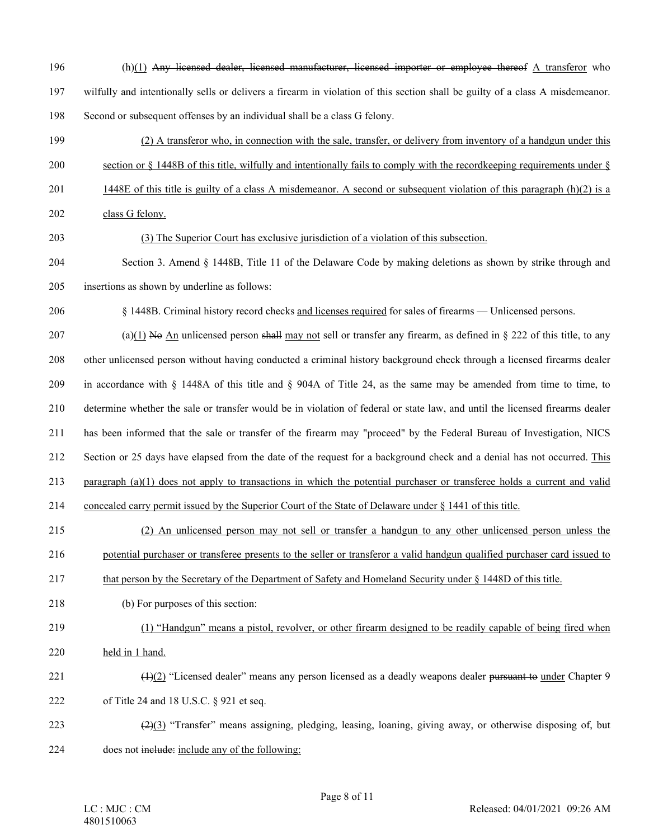196 (h)(1) Any licensed dealer, licensed manufacturer, licensed importer or employee thereof A transferor who 197 wilfully and intentionally sells or delivers a firearm in violation of this section shall be guilty of a class A misdemeanor. 198 Second or subsequent offenses by an individual shall be a class G felony.

199 (2) A transferor who, in connection with the sale, transfer, or delivery from inventory of a handgun under this

200 section or  $\S$  1448B of this title, wilfully and intentionally fails to comply with the recordkeeping requirements under  $\S$ 

201 1448E of this title is guilty of a class A misdemeanor. A second or subsequent violation of this paragraph (h)(2) is a

202 class G felony.

#### 203 (3) The Superior Court has exclusive jurisdiction of a violation of this subsection.

204 Section 3. Amend § 1448B, Title 11 of the Delaware Code by making deletions as shown by strike through and 205 insertions as shown by underline as follows:

206 § 1448B. Criminal history record checks and licenses required for sales of firearms — Unlicensed persons.

207 (a)(1) No An unlicensed person shall may not sell or transfer any firearm, as defined in  $\S$  222 of this title, to any 208 other unlicensed person without having conducted a criminal history background check through a licensed firearms dealer 209 in accordance with § 1448A of this title and § 904A of Title 24, as the same may be amended from time to time, to 210 determine whether the sale or transfer would be in violation of federal or state law, and until the licensed firearms dealer 211 has been informed that the sale or transfer of the firearm may "proceed" by the Federal Bureau of Investigation, NICS 212 Section or 25 days have elapsed from the date of the request for a background check and a denial has not occurred. This

213 paragraph (a)(1) does not apply to transactions in which the potential purchaser or transferee holds a current and valid

214 concealed carry permit issued by the Superior Court of the State of Delaware under § 1441 of this title.

215 (2) An unlicensed person may not sell or transfer a handgun to any other unlicensed person unless the

216 potential purchaser or transferee presents to the seller or transferor a valid handgun qualified purchaser card issued to

217 that person by the Secretary of the Department of Safety and Homeland Security under § 1448D of this title.

218 (b) For purposes of this section:

# 219 (1) "Handgun" means a pistol, revolver, or other firearm designed to be readily capable of being fired when

- 220 held in 1 hand.
- $(1)(2)$  "Licensed dealer" means any person licensed as a deadly weapons dealer pursuant to under Chapter 9

222 of Title 24 and 18 U.S.C. § 921 et seq.

223 (2)(3) "Transfer" means assigning, pledging, leasing, loaning, giving away, or otherwise disposing of, but 224 does not include: include any of the following: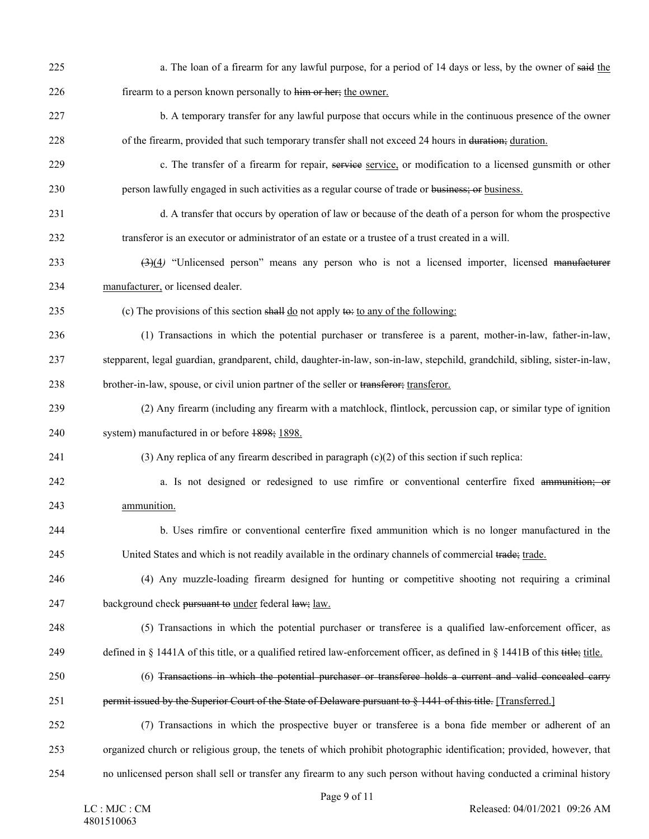| 225 | a. The loan of a firearm for any lawful purpose, for a period of 14 days or less, by the owner of said the                    |
|-----|-------------------------------------------------------------------------------------------------------------------------------|
| 226 | firearm to a person known personally to him or her; the owner.                                                                |
| 227 | b. A temporary transfer for any lawful purpose that occurs while in the continuous presence of the owner                      |
| 228 | of the firearm, provided that such temporary transfer shall not exceed 24 hours in duration; duration.                        |
| 229 | c. The transfer of a firearm for repair, service service, or modification to a licensed gunsmith or other                     |
| 230 | person lawfully engaged in such activities as a regular course of trade or business; or business.                             |
| 231 | d. A transfer that occurs by operation of law or because of the death of a person for whom the prospective                    |
| 232 | transferor is an executor or administrator of an estate or a trustee of a trust created in a will.                            |
| 233 | $(3)(4)$ "Unlicensed person" means any person who is not a licensed importer, licensed manufacturer                           |
| 234 | manufacturer, or licensed dealer.                                                                                             |
| 235 | (c) The provisions of this section shall $\underline{do}$ not apply to: to any of the following:                              |
| 236 | (1) Transactions in which the potential purchaser or transferee is a parent, mother-in-law, father-in-law,                    |
| 237 | stepparent, legal guardian, grandparent, child, daughter-in-law, son-in-law, stepchild, grandchild, sibling, sister-in-law,   |
| 238 | brother-in-law, spouse, or civil union partner of the seller or transferor; transferor.                                       |
| 239 | (2) Any firearm (including any firearm with a matchlock, flintlock, percussion cap, or similar type of ignition               |
| 240 | system) manufactured in or before 1898; 1898.                                                                                 |
| 241 | (3) Any replica of any firearm described in paragraph $(c)(2)$ of this section if such replica:                               |
| 242 | a. Is not designed or redesigned to use rimfire or conventional centerfire fixed ammunition; or                               |
| 243 | ammunition.                                                                                                                   |
| 244 | b. Uses rimfire or conventional centerfire fixed ammunition which is no longer manufactured in the                            |
| 245 | United States and which is not readily available in the ordinary channels of commercial trade; trade.                         |
| 246 | (4) Any muzzle-loading firearm designed for hunting or competitive shooting not requiring a criminal                          |
| 247 | background check pursuant to under federal law; law.                                                                          |
| 248 | (5) Transactions in which the potential purchaser or transferee is a qualified law-enforcement officer, as                    |
| 249 | defined in § 1441A of this title, or a qualified retired law-enforcement officer, as defined in § 1441B of this title; title. |
| 250 | (6) Transactions in which the potential purchaser or transferee holds a current and valid concealed carry                     |
| 251 | permit issued by the Superior Court of the State of Delaware pursuant to § 1441 of this title. [Transferred.]                 |
| 252 | (7) Transactions in which the prospective buyer or transferee is a bona fide member or adherent of an                         |
| 253 | organized church or religious group, the tenets of which prohibit photographic identification; provided, however, that        |
| 254 | no unlicensed person shall sell or transfer any firearm to any such person without having conducted a criminal history        |
|     | $P909$ 0 of 11                                                                                                                |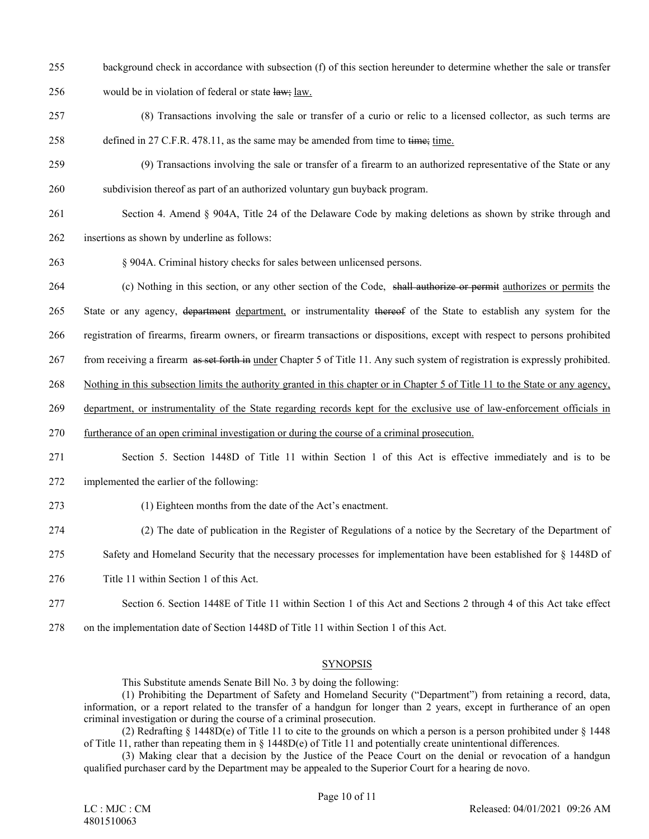- 255 background check in accordance with subsection (f) of this section hereunder to determine whether the sale or transfer
- 256 would be in violation of federal or state  $\frac{1}{4}$ uw; law.
- 257 (8) Transactions involving the sale or transfer of a curio or relic to a licensed collector, as such terms are 258 defined in 27 C.F.R. 478.11, as the same may be amended from time to time; time.
- 259 (9) Transactions involving the sale or transfer of a firearm to an authorized representative of the State or any 260 subdivision thereof as part of an authorized voluntary gun buyback program.
- 261 Section 4. Amend § 904A, Title 24 of the Delaware Code by making deletions as shown by strike through and
- 262 insertions as shown by underline as follows:
- 263 § 904A. Criminal history checks for sales between unlicensed persons.
- 264 (c) Nothing in this section, or any other section of the Code, shall authorize or permit authorizes or permits the
- 265 State or any agency, department department, or instrumentality thereof of the State to establish any system for the
- 266 registration of firearms, firearm owners, or firearm transactions or dispositions, except with respect to persons prohibited
- 267 from receiving a firearm as set forth in under Chapter 5 of Title 11. Any such system of registration is expressly prohibited.
- 268 Nothing in this subsection limits the authority granted in this chapter or in Chapter 5 of Title 11 to the State or any agency,
- 269 department, or instrumentality of the State regarding records kept for the exclusive use of law-enforcement officials in
- 270 furtherance of an open criminal investigation or during the course of a criminal prosecution.
- 271 Section 5. Section 1448D of Title 11 within Section 1 of this Act is effective immediately and is to be
- 272 implemented the earlier of the following:
- 273 (1) Eighteen months from the date of the Act's enactment.
- 274 (2) The date of publication in the Register of Regulations of a notice by the Secretary of the Department of
- 275 Safety and Homeland Security that the necessary processes for implementation have been established for § 1448D of
- 276 Title 11 within Section 1 of this Act.
- 277 Section 6. Section 1448E of Title 11 within Section 1 of this Act and Sections 2 through 4 of this Act take effect
- 278 on the implementation date of Section 1448D of Title 11 within Section 1 of this Act.

### SYNOPSIS

This Substitute amends Senate Bill No. 3 by doing the following:

(1) Prohibiting the Department of Safety and Homeland Security ("Department") from retaining a record, data, information, or a report related to the transfer of a handgun for longer than 2 years, except in furtherance of an open criminal investigation or during the course of a criminal prosecution.

(2) Redrafting  $\S$  1448D(e) of Title 11 to cite to the grounds on which a person is a person prohibited under  $\S$  1448 of Title 11, rather than repeating them in  $\S$  1448D(e) of Title 11 and potentially create unintentional differences.

(3) Making clear that a decision by the Justice of the Peace Court on the denial or revocation of a handgun qualified purchaser card by the Department may be appealed to the Superior Court for a hearing de novo.